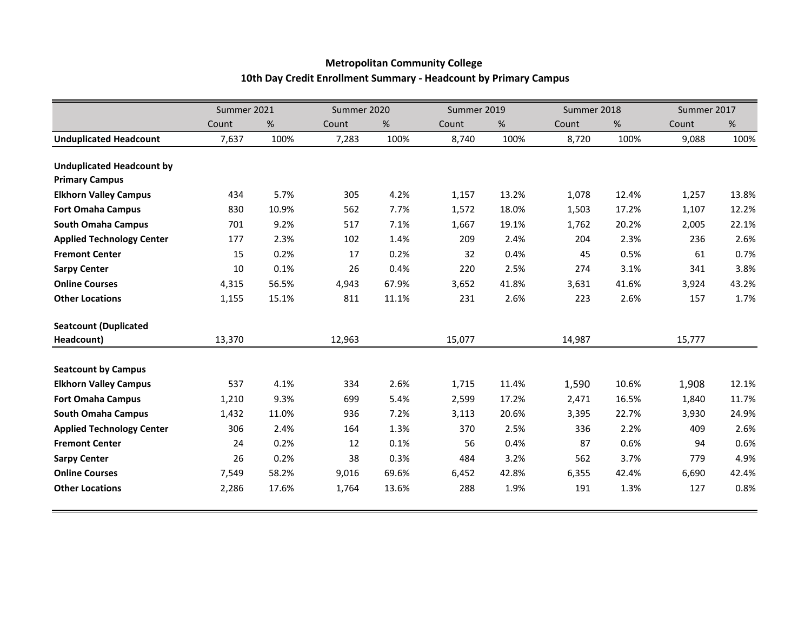## **Metropolitan Community College 10th Day Credit Enrollment Summary - Headcount by Primary Campus**

|                                  | Summer 2021 |       | Summer 2020 |       | Summer 2019 |       | Summer 2018 |       | Summer 2017 |       |
|----------------------------------|-------------|-------|-------------|-------|-------------|-------|-------------|-------|-------------|-------|
|                                  | Count       | %     | Count       | %     | Count       | %     | Count       | %     | Count       | $\%$  |
| <b>Unduplicated Headcount</b>    | 7,637       | 100%  | 7,283       | 100%  | 8,740       | 100%  | 8,720       | 100%  | 9,088       | 100%  |
|                                  |             |       |             |       |             |       |             |       |             |       |
| <b>Unduplicated Headcount by</b> |             |       |             |       |             |       |             |       |             |       |
| <b>Primary Campus</b>            |             |       |             |       |             |       |             |       |             |       |
| <b>Elkhorn Valley Campus</b>     | 434         | 5.7%  | 305         | 4.2%  | 1,157       | 13.2% | 1,078       | 12.4% | 1,257       | 13.8% |
| <b>Fort Omaha Campus</b>         | 830         | 10.9% | 562         | 7.7%  | 1,572       | 18.0% | 1,503       | 17.2% | 1,107       | 12.2% |
| <b>South Omaha Campus</b>        | 701         | 9.2%  | 517         | 7.1%  | 1,667       | 19.1% | 1,762       | 20.2% | 2,005       | 22.1% |
| <b>Applied Technology Center</b> | 177         | 2.3%  | 102         | 1.4%  | 209         | 2.4%  | 204         | 2.3%  | 236         | 2.6%  |
| <b>Fremont Center</b>            | 15          | 0.2%  | 17          | 0.2%  | 32          | 0.4%  | 45          | 0.5%  | 61          | 0.7%  |
| <b>Sarpy Center</b>              | 10          | 0.1%  | 26          | 0.4%  | 220         | 2.5%  | 274         | 3.1%  | 341         | 3.8%  |
| <b>Online Courses</b>            | 4,315       | 56.5% | 4,943       | 67.9% | 3,652       | 41.8% | 3,631       | 41.6% | 3,924       | 43.2% |
| <b>Other Locations</b>           | 1,155       | 15.1% | 811         | 11.1% | 231         | 2.6%  | 223         | 2.6%  | 157         | 1.7%  |
| <b>Seatcount (Duplicated</b>     |             |       |             |       |             |       |             |       |             |       |
| Headcount)                       | 13,370      |       | 12,963      |       | 15,077      |       | 14,987      |       | 15,777      |       |
| <b>Seatcount by Campus</b>       |             |       |             |       |             |       |             |       |             |       |
| <b>Elkhorn Valley Campus</b>     | 537         | 4.1%  | 334         | 2.6%  | 1,715       | 11.4% | 1,590       | 10.6% | 1,908       | 12.1% |
| <b>Fort Omaha Campus</b>         | 1,210       | 9.3%  | 699         | 5.4%  | 2,599       | 17.2% | 2,471       | 16.5% | 1,840       | 11.7% |
| <b>South Omaha Campus</b>        | 1,432       | 11.0% | 936         | 7.2%  | 3,113       | 20.6% | 3,395       | 22.7% | 3,930       | 24.9% |
| <b>Applied Technology Center</b> | 306         | 2.4%  | 164         | 1.3%  | 370         | 2.5%  | 336         | 2.2%  | 409         | 2.6%  |
| <b>Fremont Center</b>            | 24          | 0.2%  | 12          | 0.1%  | 56          | 0.4%  | 87          | 0.6%  | 94          | 0.6%  |
| <b>Sarpy Center</b>              | 26          | 0.2%  | 38          | 0.3%  | 484         | 3.2%  | 562         | 3.7%  | 779         | 4.9%  |
| <b>Online Courses</b>            | 7,549       | 58.2% | 9,016       | 69.6% | 6,452       | 42.8% | 6,355       | 42.4% | 6,690       | 42.4% |
| <b>Other Locations</b>           | 2,286       | 17.6% | 1,764       | 13.6% | 288         | 1.9%  | 191         | 1.3%  | 127         | 0.8%  |